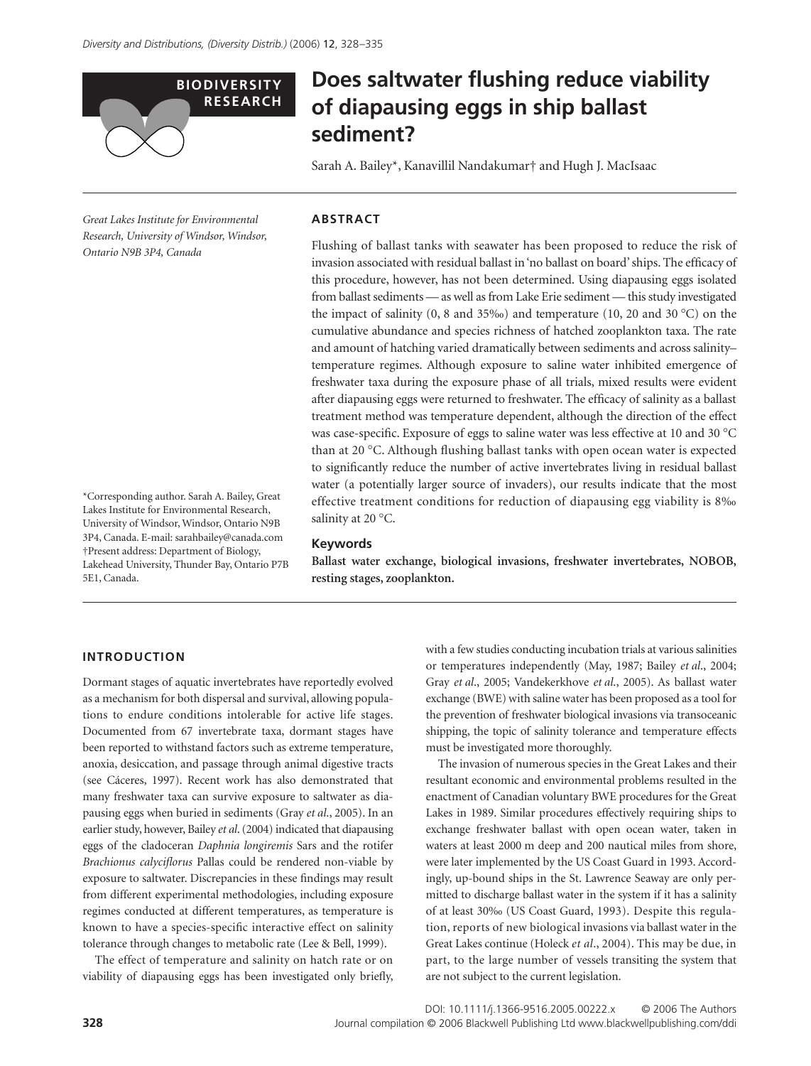

# **Does saltwater flushing reduce viability of diapausing eggs in ship ballast sediment?**

Sarah A. Bailey\*, Kanavillil Nandakumar† and Hugh J. MacIsaac

*Great Lakes Institute for Environmental Research, University of Windsor, Windsor, Ontario N9B 3P4, Canada* 

\*Corresponding author. Sarah A. Bailey, Great Lakes Institute for Environmental Research, University of Windsor, Windsor, Ontario N9B 3P4, Canada. E-mail: sarahbailey@canada.com †Present address: Department of Biology, Lakehead University, Thunder Bay, Ontario P7B

## **ABSTRACT**

Flushing of ballast tanks with seawater has been proposed to reduce the risk of invasion associated with residual ballast in 'no ballast on board' ships. The efficacy of this procedure, however, has not been determined. Using diapausing eggs isolated from ballast sediments — as well as from Lake Erie sediment — this study investigated the impact of salinity (0, 8 and 35‰) and temperature (10, 20 and 30 °C) on the cumulative abundance and species richness of hatched zooplankton taxa. The rate and amount of hatching varied dramatically between sediments and across salinity– temperature regimes. Although exposure to saline water inhibited emergence of freshwater taxa during the exposure phase of all trials, mixed results were evident after diapausing eggs were returned to freshwater. The efficacy of salinity as a ballast treatment method was temperature dependent, although the direction of the effect was case-specific. Exposure of eggs to saline water was less effective at 10 and 30 °C than at 20 °C. Although flushing ballast tanks with open ocean water is expected to significantly reduce the number of active invertebrates living in residual ballast water (a potentially larger source of invaders), our results indicate that the most effective treatment conditions for reduction of diapausing egg viability is 8‰ salinity at 20 °C.

#### **Keywords**

**Ballast water exchange, biological invasions, freshwater invertebrates, NOBOB, resting stages, zooplankton.**

# **INTRODUCTION**

5E1, Canada.

Dormant stages of aquatic invertebrates have reportedly evolved as a mechanism for both dispersal and survival, allowing populations to endure conditions intolerable for active life stages. Documented from 67 invertebrate taxa, dormant stages have been reported to withstand factors such as extreme temperature, anoxia, desiccation, and passage through animal digestive tracts (see Cáceres, 1997). Recent work has also demonstrated that many freshwater taxa can survive exposure to saltwater as diapausing eggs when buried in sediments (Gray *et al*., 2005). In an earlier study, however, Bailey *et al*. (2004) indicated that diapausing eggs of the cladoceran *Daphnia longiremis* Sars and the rotifer *Brachionus calyciflorus* Pallas could be rendered non-viable by exposure to saltwater. Discrepancies in these findings may result from different experimental methodologies, including exposure regimes conducted at different temperatures, as temperature is known to have a species-specific interactive effect on salinity tolerance through changes to metabolic rate (Lee & Bell, 1999).

The effect of temperature and salinity on hatch rate or on viability of diapausing eggs has been investigated only briefly, with a few studies conducting incubation trials at various salinities or temperatures independently (May, 1987; Bailey *et al*., 2004; Gray *et al*., 2005; Vandekerkhove *et al*., 2005). As ballast water exchange (BWE) with saline water has been proposed as a tool for the prevention of freshwater biological invasions via transoceanic shipping, the topic of salinity tolerance and temperature effects must be investigated more thoroughly.

The invasion of numerous species in the Great Lakes and their resultant economic and environmental problems resulted in the enactment of Canadian voluntary BWE procedures for the Great Lakes in 1989. Similar procedures effectively requiring ships to exchange freshwater ballast with open ocean water, taken in waters at least 2000 m deep and 200 nautical miles from shore, were later implemented by the US Coast Guard in 1993. Accordingly, up-bound ships in the St. Lawrence Seaway are only permitted to discharge ballast water in the system if it has a salinity of at least 30‰ (US Coast Guard, 1993). Despite this regulation, reports of new biological invasions via ballast water in the Great Lakes continue (Holeck *et al*., 2004). This may be due, in part, to the large number of vessels transiting the system that are not subject to the current legislation.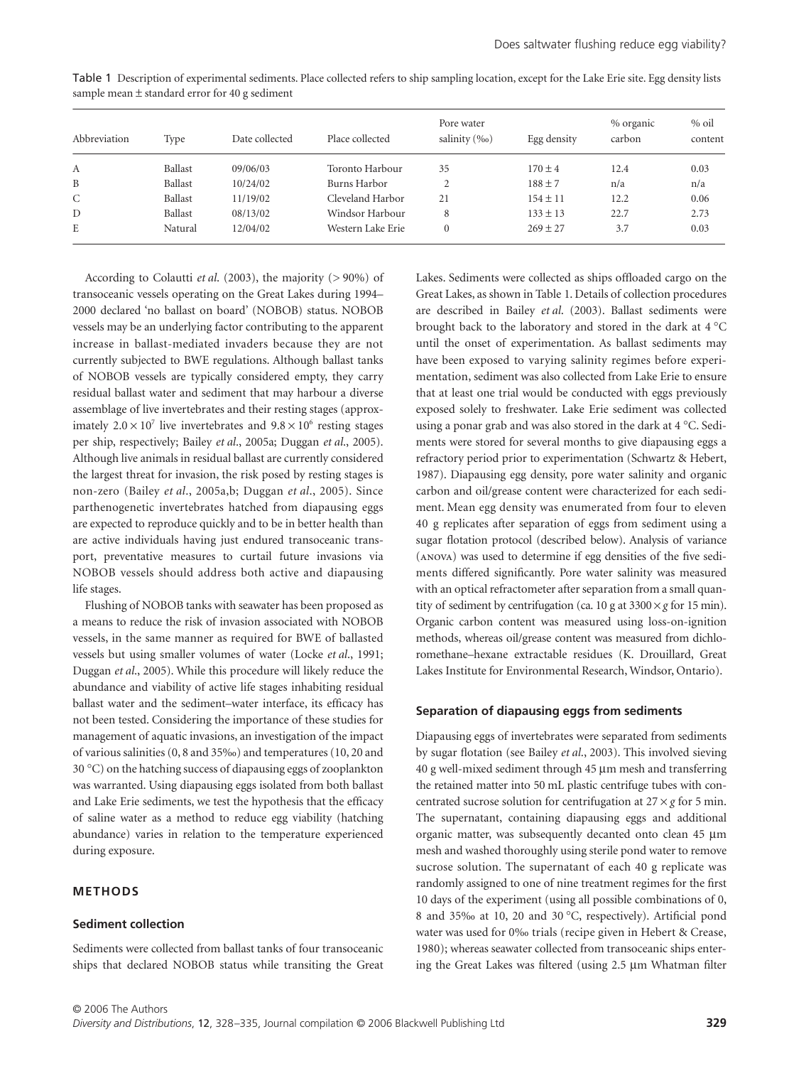| Abbreviation | Type    | Date collected | Place collected   | Pore water<br>salinity (‰) | Egg density  | % organic<br>carbon | $%$ oil<br>content |
|--------------|---------|----------------|-------------------|----------------------------|--------------|---------------------|--------------------|
| А            | Ballast | 09/06/03       | Toronto Harbour   | 35                         | $170 \pm 4$  | 12.4                | 0.03               |
| B            | Ballast | 10/24/02       | Burns Harbor      |                            | $188 \pm 7$  | n/a                 | n/a                |
| C            | Ballast | 11/19/02       | Cleveland Harbor  | 21                         | $154 \pm 11$ | 12.2                | 0.06               |
| D            | Ballast | 08/13/02       | Windsor Harbour   | 8                          | $133 \pm 13$ | 22.7                | 2.73               |
| E            | Natural | 12/04/02       | Western Lake Erie |                            | $269 \pm 27$ | 3.7                 | 0.03               |

Table 1 Description of experimental sediments. Place collected refers to ship sampling location, except for the Lake Erie site. Egg density lists sample mean ± standard error for 40 g sediment

According to Colautti *et al*. (2003), the majority (> 90%) of transoceanic vessels operating on the Great Lakes during 1994– 2000 declared 'no ballast on board' (NOBOB) status. NOBOB vessels may be an underlying factor contributing to the apparent increase in ballast-mediated invaders because they are not currently subjected to BWE regulations. Although ballast tanks of NOBOB vessels are typically considered empty, they carry residual ballast water and sediment that may harbour a diverse assemblage of live invertebrates and their resting stages (approximately  $2.0 \times 10^7$  live invertebrates and  $9.8 \times 10^6$  resting stages per ship, respectively; Bailey *et al*., 2005a; Duggan *et al*., 2005). Although live animals in residual ballast are currently considered the largest threat for invasion, the risk posed by resting stages is non-zero (Bailey *et al*., 2005a,b; Duggan *et al*., 2005). Since parthenogenetic invertebrates hatched from diapausing eggs are expected to reproduce quickly and to be in better health than are active individuals having just endured transoceanic transport, preventative measures to curtail future invasions via NOBOB vessels should address both active and diapausing life stages.

Flushing of NOBOB tanks with seawater has been proposed as a means to reduce the risk of invasion associated with NOBOB vessels, in the same manner as required for BWE of ballasted vessels but using smaller volumes of water (Locke *et al*., 1991; Duggan *et al*., 2005). While this procedure will likely reduce the abundance and viability of active life stages inhabiting residual ballast water and the sediment–water interface, its efficacy has not been tested. Considering the importance of these studies for management of aquatic invasions, an investigation of the impact of various salinities (0, 8 and 35‰) and temperatures (10, 20 and 30 °C) on the hatching success of diapausing eggs of zooplankton was warranted. Using diapausing eggs isolated from both ballast and Lake Erie sediments, we test the hypothesis that the efficacy of saline water as a method to reduce egg viability (hatching abundance) varies in relation to the temperature experienced during exposure.

## **METHODS**

#### **Sediment collection**

Sediments were collected from ballast tanks of four transoceanic ships that declared NOBOB status while transiting the Great Lakes. Sediments were collected as ships offloaded cargo on the Great Lakes, as shown in Table 1. Details of collection procedures are described in Bailey *et al*. (2003). Ballast sediments were brought back to the laboratory and stored in the dark at 4 °C until the onset of experimentation. As ballast sediments may have been exposed to varying salinity regimes before experimentation, sediment was also collected from Lake Erie to ensure that at least one trial would be conducted with eggs previously exposed solely to freshwater. Lake Erie sediment was collected using a ponar grab and was also stored in the dark at 4 °C. Sediments were stored for several months to give diapausing eggs a refractory period prior to experimentation (Schwartz & Hebert, 1987). Diapausing egg density, pore water salinity and organic carbon and oil/grease content were characterized for each sediment. Mean egg density was enumerated from four to eleven 40 g replicates after separation of eggs from sediment using a sugar flotation protocol (described below). Analysis of variance (ANOVA) was used to determine if egg densities of the five sediments differed significantly. Pore water salinity was measured with an optical refractometer after separation from a small quantity of sediment by centrifugation (ca. 10 g at  $3300 \times g$  for 15 min). Organic carbon content was measured using loss-on-ignition methods, whereas oil/grease content was measured from dichloromethane–hexane extractable residues (K. Drouillard, Great Lakes Institute for Environmental Research, Windsor, Ontario).

## **Separation of diapausing eggs from sediments**

Diapausing eggs of invertebrates were separated from sediments by sugar flotation (see Bailey *et al*., 2003). This involved sieving 40 g well-mixed sediment through 45 µm mesh and transferring the retained matter into 50 mL plastic centrifuge tubes with concentrated sucrose solution for centrifugation at  $27 \times g$  for 5 min. The supernatant, containing diapausing eggs and additional organic matter, was subsequently decanted onto clean 45 µm mesh and washed thoroughly using sterile pond water to remove sucrose solution. The supernatant of each 40 g replicate was randomly assigned to one of nine treatment regimes for the first 10 days of the experiment (using all possible combinations of 0, 8 and 35‰ at 10, 20 and 30 °C, respectively). Artificial pond water was used for 0‰ trials (recipe given in Hebert & Crease, 1980); whereas seawater collected from transoceanic ships entering the Great Lakes was filtered (using 2.5 µm Whatman filter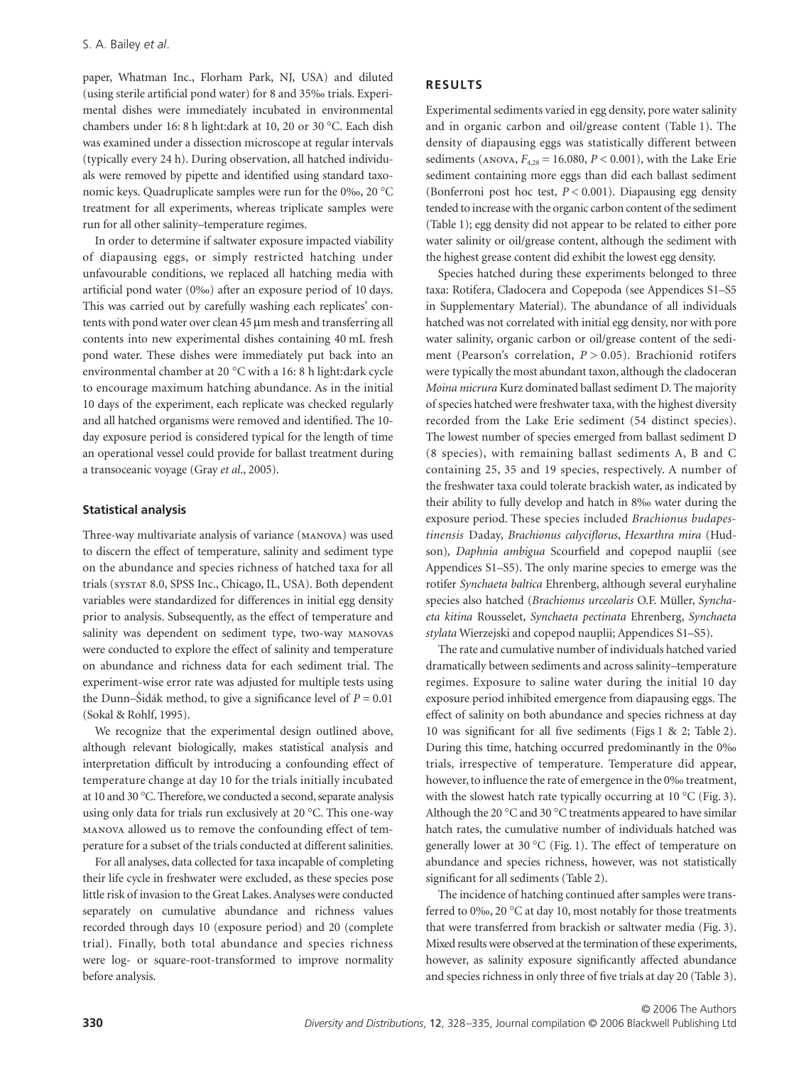paper, Whatman Inc., Florham Park, NJ, USA) and diluted (using sterile artificial pond water) for 8 and 35‰ trials. Experimental dishes were immediately incubated in environmental chambers under 16: 8 h light:dark at 10, 20 or 30 °C. Each dish was examined under a dissection microscope at regular intervals (typically every 24 h). During observation, all hatched individuals were removed by pipette and identified using standard taxonomic keys. Quadruplicate samples were run for the 0‰, 20 °C treatment for all experiments, whereas triplicate samples were run for all other salinity–temperature regimes.

In order to determine if saltwater exposure impacted viability of diapausing eggs, or simply restricted hatching under unfavourable conditions, we replaced all hatching media with artificial pond water (0‰) after an exposure period of 10 days. This was carried out by carefully washing each replicates' contents with pond water over clean 45 µm mesh and transferring all contents into new experimental dishes containing 40 mL fresh pond water. These dishes were immediately put back into an environmental chamber at 20 °C with a 16: 8 h light:dark cycle to encourage maximum hatching abundance. As in the initial 10 days of the experiment, each replicate was checked regularly and all hatched organisms were removed and identified. The 10 day exposure period is considered typical for the length of time an operational vessel could provide for ballast treatment during a transoceanic voyage (Gray *et al*., 2005).

### **Statistical analysis**

Three-way multivariate analysis of variance (MANOVA) was used to discern the effect of temperature, salinity and sediment type on the abundance and species richness of hatched taxa for all trials ( 8.0, SPSS Inc., Chicago, IL, USA). Both dependent variables were standardized for differences in initial egg density prior to analysis. Subsequently, as the effect of temperature and salinity was dependent on sediment type, two-way MANOVAS were conducted to explore the effect of salinity and temperature on abundance and richness data for each sediment trial. The experiment-wise error rate was adjusted for multiple tests using the Dunn–Šidák method, to give a significance level of  $P = 0.01$ (Sokal & Rohlf, 1995).

We recognize that the experimental design outlined above, although relevant biologically, makes statistical analysis and interpretation difficult by introducing a confounding effect of temperature change at day 10 for the trials initially incubated at 10 and 30 °C. Therefore, we conducted a second, separate analysis using only data for trials run exclusively at 20 °C. This one-way allowed us to remove the confounding effect of temperature for a subset of the trials conducted at different salinities.

For all analyses, data collected for taxa incapable of completing their life cycle in freshwater were excluded, as these species pose little risk of invasion to the Great Lakes. Analyses were conducted separately on cumulative abundance and richness values recorded through days 10 (exposure period) and 20 (complete trial). Finally, both total abundance and species richness were log- or square-root-transformed to improve normality before analysis.

## **RESULTS**

Experimental sediments varied in egg density, pore water salinity and in organic carbon and oil/grease content (Table 1). The density of diapausing eggs was statistically different between sediments ( $ANOVA$ ,  $F_{4,28} = 16,080$ ,  $P < 0.001$ ), with the Lake Erie sediment containing more eggs than did each ballast sediment (Bonferroni post hoc test,  $P < 0.001$ ). Diapausing egg density tended to increase with the organic carbon content of the sediment (Table 1); egg density did not appear to be related to either pore water salinity or oil/grease content, although the sediment with the highest grease content did exhibit the lowest egg density.

Species hatched during these experiments belonged to three taxa: Rotifera, Cladocera and Copepoda (see Appendices S1–S5 in Supplementary Material). The abundance of all individuals hatched was not correlated with initial egg density, nor with pore water salinity, organic carbon or oil/grease content of the sediment (Pearson's correlation, *P* > 0.05). Brachionid rotifers were typically the most abundant taxon, although the cladoceran *Moina micrura* Kurz dominated ballast sediment D. The majority of species hatched were freshwater taxa, with the highest diversity recorded from the Lake Erie sediment (54 distinct species). The lowest number of species emerged from ballast sediment D (8 species), with remaining ballast sediments A, B and C containing 25, 35 and 19 species, respectively. A number of the freshwater taxa could tolerate brackish water, as indicated by their ability to fully develop and hatch in 8‰ water during the exposure period. These species included *Brachionus budapestinensis* Daday, *Brachionus calyciflorus*, *Hexarthra mira* (Hudson)*, Daphnia ambigua* Scourfield and copepod nauplii (see Appendices S1–S5). The only marine species to emerge was the rotifer *Synchaeta baltica* Ehrenberg, although several euryhaline species also hatched (*Brachionus urceolaris* O.F. Müller, *Synchaeta kitina* Rousselet, *Synchaeta pectinata* Ehrenberg, *Synchaeta stylata* Wierzejski and copepod nauplii; Appendices S1–S5).

The rate and cumulative number of individuals hatched varied dramatically between sediments and across salinity–temperature regimes. Exposure to saline water during the initial 10 day exposure period inhibited emergence from diapausing eggs. The effect of salinity on both abundance and species richness at day 10 was significant for all five sediments (Figs 1 & 2; Table 2). During this time, hatching occurred predominantly in the 0‰ trials, irrespective of temperature. Temperature did appear, however, to influence the rate of emergence in the 0‰ treatment, with the slowest hatch rate typically occurring at  $10^{\circ}$ C (Fig. 3). Although the 20 °C and 30 °C treatments appeared to have similar hatch rates, the cumulative number of individuals hatched was generally lower at 30 °C (Fig. 1). The effect of temperature on abundance and species richness, however, was not statistically significant for all sediments (Table 2).

The incidence of hatching continued after samples were transferred to 0‰, 20 °C at day 10, most notably for those treatments that were transferred from brackish or saltwater media (Fig. 3). Mixed results were observed at the termination of these experiments, however, as salinity exposure significantly affected abundance and species richness in only three of five trials at day 20 (Table 3).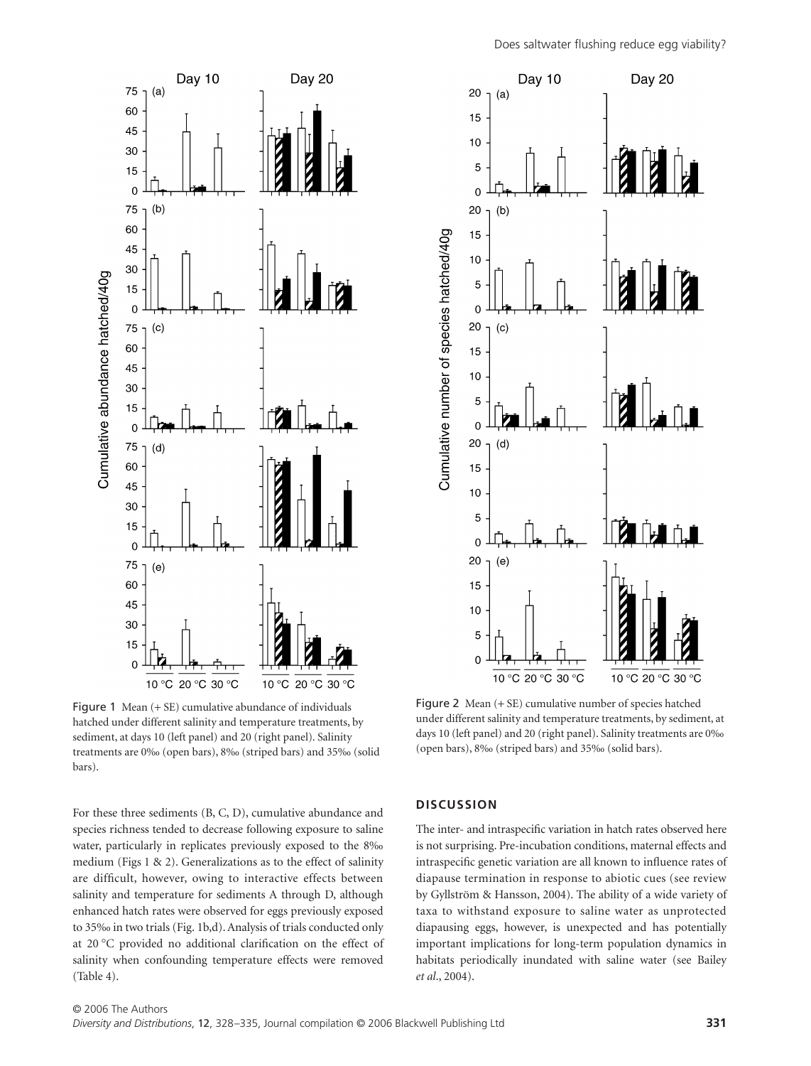

Figure 1 Mean (+ SE) cumulative abundance of individuals hatched under different salinity and temperature treatments, by sediment, at days 10 (left panel) and 20 (right panel). Salinity treatments are 0‰ (open bars), 8‰ (striped bars) and 35‰ (solid bars).

For these three sediments (B, C, D), cumulative abundance and species richness tended to decrease following exposure to saline water, particularly in replicates previously exposed to the 8‰ medium (Figs 1 & 2). Generalizations as to the effect of salinity are difficult, however, owing to interactive effects between salinity and temperature for sediments A through D, although enhanced hatch rates were observed for eggs previously exposed to 35‰ in two trials (Fig. 1b,d). Analysis of trials conducted only at 20 °C provided no additional clarification on the effect of salinity when confounding temperature effects were removed (Table 4).



Figure 2 Mean (+ SE) cumulative number of species hatched under different salinity and temperature treatments, by sediment, at days 10 (left panel) and 20 (right panel). Salinity treatments are 0‰ (open bars), 8‰ (striped bars) and 35‰ (solid bars).

#### **DISCUSSION**

The inter- and intraspecific variation in hatch rates observed here is not surprising. Pre-incubation conditions, maternal effects and intraspecific genetic variation are all known to influence rates of diapause termination in response to abiotic cues (see review by Gyllström & Hansson, 2004). The ability of a wide variety of taxa to withstand exposure to saline water as unprotected diapausing eggs, however, is unexpected and has potentially important implications for long-term population dynamics in habitats periodically inundated with saline water (see Bailey *et al*., 2004).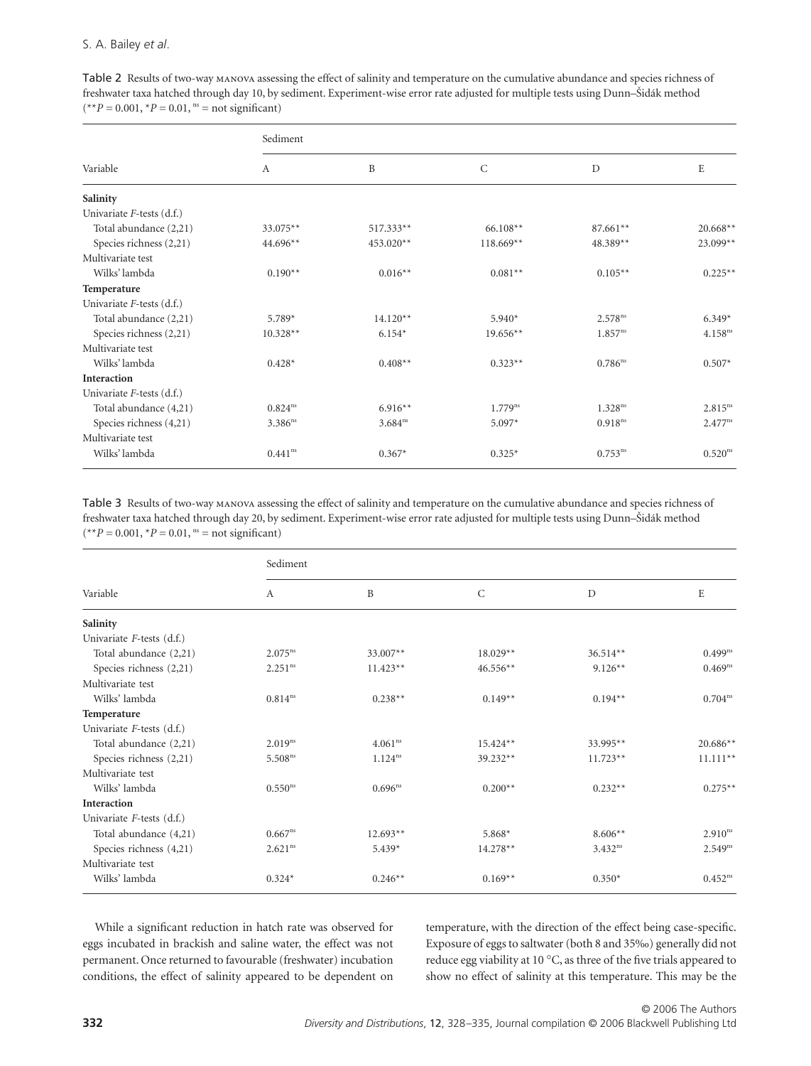Table 2 Results of two-way MANOVA assessing the effect of salinity and temperature on the cumulative abundance and species richness of freshwater taxa hatched through day 10, by sediment. Experiment-wise error rate adjusted for multiple tests using Dunn–Íidák method  $(*p = 0.001, *P = 0.01, <sup>ns</sup> = not significant)$ 

|                           | Sediment     |              |              |                     |                     |  |  |
|---------------------------|--------------|--------------|--------------|---------------------|---------------------|--|--|
| Variable                  | А            | B            | $\mathsf{C}$ | D                   | E                   |  |  |
| Salinity                  |              |              |              |                     |                     |  |  |
| Univariate F-tests (d.f.) |              |              |              |                     |                     |  |  |
| Total abundance (2,21)    | 33.075**     | $517.333**$  | $66.108**$   | 87.661**            | $20.668**$          |  |  |
| Species richness (2,21)   | 44.696**     | 453.020**    | $118.669**$  | 48.389**            | 23.099**            |  |  |
| Multivariate test         |              |              |              |                     |                     |  |  |
| Wilks' lambda             | $0.190**$    | $0.016**$    | $0.081**$    | $0.105**$           | $0.225**$           |  |  |
| Temperature               |              |              |              |                     |                     |  |  |
| Univariate F-tests (d.f.) |              |              |              |                     |                     |  |  |
| Total abundance (2,21)    | $5.789*$     | $14.120**$   | $5.940*$     | $2.578^{ns}$        | $6.349*$            |  |  |
| Species richness (2,21)   | $10.328**$   | $6.154*$     | $19.656**$   | $1.857^{ns}$        | 4.158 <sup>ns</sup> |  |  |
| Multivariate test         |              |              |              |                     |                     |  |  |
| Wilks' lambda             | $0.428*$     | $0.408**$    | $0.323**$    | $0.786^{ns}$        | $0.507*$            |  |  |
| Interaction               |              |              |              |                     |                     |  |  |
| Univariate F-tests (d.f.) |              |              |              |                     |                     |  |  |
| Total abundance (4,21)    | $0.824^{ns}$ | $6.916**$    | $1.779^{ns}$ | 1.328 <sup>ns</sup> | $2.815^{ns}$        |  |  |
| Species richness (4,21)   | $3.386^{ns}$ | $3.684^{ns}$ | $5.097*$     | $0.918^{ns}$        | $2.477^{ns}$        |  |  |
| Multivariate test         |              |              |              |                     |                     |  |  |
| Wilks' lambda             | $0.441^{ns}$ | $0.367*$     | $0.325*$     | $0.753^{ns}$        | 0.520 <sup>ns</sup> |  |  |

Table 3 Results of two-way MANOVA assessing the effect of salinity and temperature on the cumulative abundance and species richness of freshwater taxa hatched through day 20, by sediment. Experiment-wise error rate adjusted for multiple tests using Dunn–Íidák method  $(**P = 0.001, *P = 0.01, <sup>ns</sup> = not significant)$ 

|                           | Sediment              |              |              |              |                     |  |  |
|---------------------------|-----------------------|--------------|--------------|--------------|---------------------|--|--|
| Variable                  | $\boldsymbol{A}$      | B            | $\mathsf{C}$ | $\mathbf D$  | E                   |  |  |
| Salinity                  |                       |              |              |              |                     |  |  |
| Univariate F-tests (d.f.) |                       |              |              |              |                     |  |  |
| Total abundance (2,21)    | $2.075^{ns}$          | 33.007**     | $18.029**$   | $36.514**$   | $0.499^{ns}$        |  |  |
| Species richness (2,21)   | 2.251 <sup>ns</sup>   | $11.423**$   | $46.556**$   | $9.126**$    | $0.469^{ns}$        |  |  |
| Multivariate test         |                       |              |              |              |                     |  |  |
| Wilks' lambda             | $0.814^{ns}$          | $0.238**$    | $0.149**$    | $0.194**$    | $0.704^{ns}$        |  |  |
| Temperature               |                       |              |              |              |                     |  |  |
| Univariate F-tests (d.f.) |                       |              |              |              |                     |  |  |
| Total abundance (2,21)    | $2.019^{ns}$          | $4.061^{ns}$ | $15.424**$   | 33.995**     | $20.686**$          |  |  |
| Species richness (2,21)   | 5.508 <sup>ns</sup>   | $1.124^{ns}$ | $39.232**$   | $11.723**$   | $11.111**$          |  |  |
| Multivariate test         |                       |              |              |              |                     |  |  |
| Wilks' lambda             | $0.550$ <sup>ns</sup> | $0.696^{ns}$ | $0.200**$    | $0.232**$    | $0.275**$           |  |  |
| Interaction               |                       |              |              |              |                     |  |  |
| Univariate F-tests (d.f.) |                       |              |              |              |                     |  |  |
| Total abundance (4,21)    | $0.667^{ns}$          | $12.693**$   | $5.868*$     | $8.606**$    | 2.910 <sup>ns</sup> |  |  |
| Species richness (4,21)   | 2.621 <sup>ns</sup>   | $5.439*$     | $14.278**$   | $3.432^{ns}$ | $2.549^{ns}$        |  |  |
| Multivariate test         |                       |              |              |              |                     |  |  |
| Wilks' lambda             | $0.324*$              | $0.246**$    | $0.169**$    | $0.350*$     | $0.452^{ns}$        |  |  |

While a significant reduction in hatch rate was observed for eggs incubated in brackish and saline water, the effect was not permanent. Once returned to favourable (freshwater) incubation conditions, the effect of salinity appeared to be dependent on temperature, with the direction of the effect being case-specific. Exposure of eggs to saltwater (both 8 and 35‰) generally did not reduce egg viability at 10 °C, as three of the five trials appeared to show no effect of salinity at this temperature. This may be the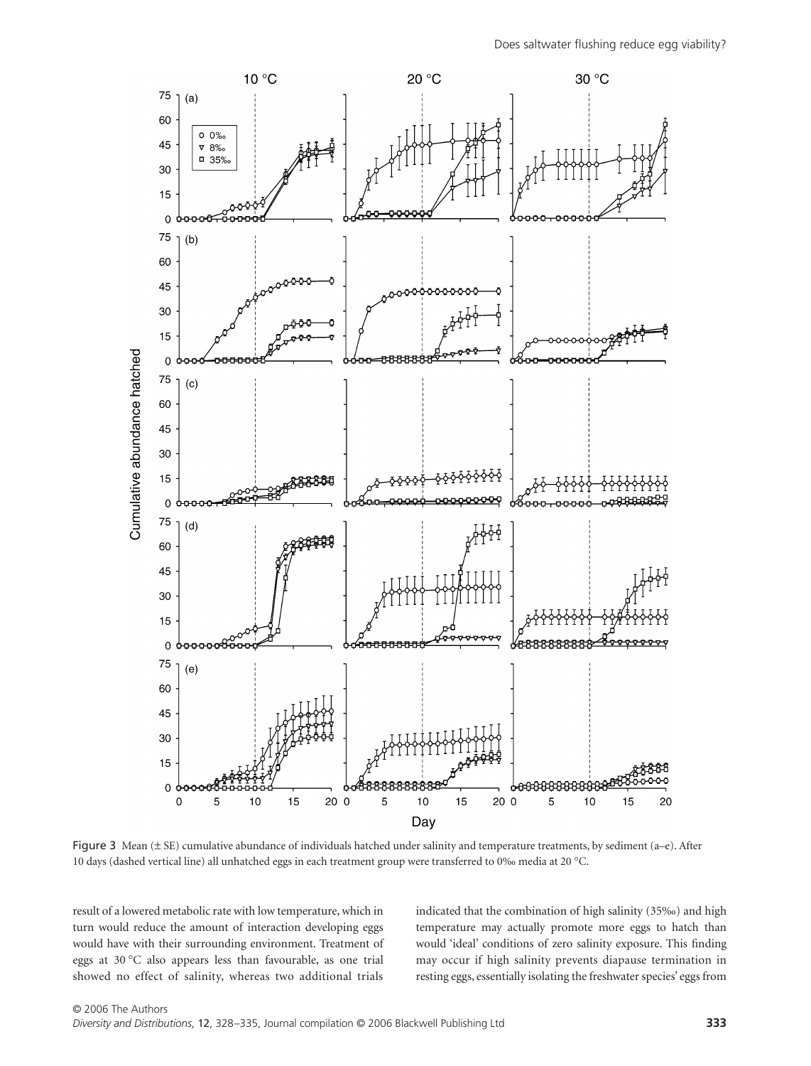

Figure 3 Mean (± SE) cumulative abundance of individuals hatched under salinity and temperature treatments, by sediment (a–e). After 10 days (dashed vertical line) all unhatched eggs in each treatment group were transferred to 0‰ media at 20 °C.

result of a lowered metabolic rate with low temperature, which in turn would reduce the amount of interaction developing eggs would have with their surrounding environment. Treatment of eggs at 30 °C also appears less than favourable, as one trial showed no effect of salinity, whereas two additional trials

indicated that the combination of high salinity (35‰) and high temperature may actually promote more eggs to hatch than would 'ideal' conditions of zero salinity exposure. This finding may occur if high salinity prevents diapause termination in resting eggs, essentially isolating the freshwater species' eggs from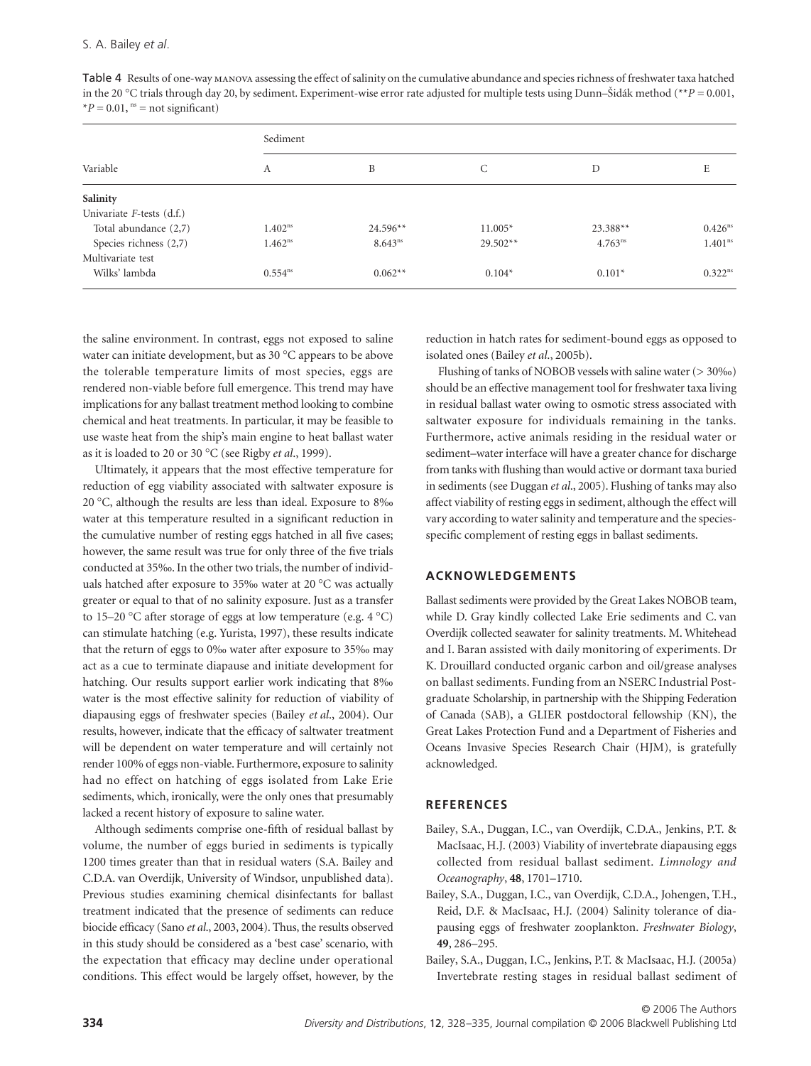|                              | Sediment            |              |            |                     |                     |  |  |
|------------------------------|---------------------|--------------|------------|---------------------|---------------------|--|--|
| Variable                     | А                   | B            | C          | D                   | E                   |  |  |
| Salinity                     |                     |              |            |                     |                     |  |  |
| Univariate $F$ -tests (d.f.) |                     |              |            |                     |                     |  |  |
| Total abundance (2,7)        | 1.402 <sup>ns</sup> | $24.596**$   | $11.005*$  | $23.388**$          | $0.426^{ns}$        |  |  |
| Species richness (2,7)       | $1.462^{ns}$        | $8.643^{ns}$ | $29.502**$ | 4.763 <sup>ns</sup> | 1.401 <sup>ns</sup> |  |  |
| Multivariate test            |                     |              |            |                     |                     |  |  |
| Wilks' lambda                | $0.554^{ns}$        | $0.062**$    | $0.104*$   | $0.101*$            | $0.322^{ns}$        |  |  |

Table 4 Results of one-way MANOVA assessing the effect of salinity on the cumulative abundance and species richness of freshwater taxa hatched in the 20 °C trials through day 20, by sediment. Experiment-wise error rate adjusted for multiple tests using Dunn–Íidák method (\*\**P =* 0.001,  $*P = 0.01$ , <sup>ns</sup> = not significant)

the saline environment. In contrast, eggs not exposed to saline water can initiate development, but as 30 °C appears to be above the tolerable temperature limits of most species, eggs are rendered non-viable before full emergence. This trend may have implications for any ballast treatment method looking to combine chemical and heat treatments. In particular, it may be feasible to use waste heat from the ship's main engine to heat ballast water as it is loaded to 20 or 30 °C (see Rigby *et al*., 1999).

Ultimately, it appears that the most effective temperature for reduction of egg viability associated with saltwater exposure is 20 °C, although the results are less than ideal. Exposure to 8‰ water at this temperature resulted in a significant reduction in the cumulative number of resting eggs hatched in all five cases; however, the same result was true for only three of the five trials conducted at 35‰. In the other two trials, the number of individuals hatched after exposure to 35‰ water at 20 °C was actually greater or equal to that of no salinity exposure. Just as a transfer to 15–20 °C after storage of eggs at low temperature (e.g. 4 °C) can stimulate hatching (e.g. Yurista, 1997), these results indicate that the return of eggs to 0‰ water after exposure to 35‰ may act as a cue to terminate diapause and initiate development for hatching. Our results support earlier work indicating that 8‰ water is the most effective salinity for reduction of viability of diapausing eggs of freshwater species (Bailey *et al*., 2004). Our results, however, indicate that the efficacy of saltwater treatment will be dependent on water temperature and will certainly not render 100% of eggs non-viable. Furthermore, exposure to salinity had no effect on hatching of eggs isolated from Lake Erie sediments, which, ironically, were the only ones that presumably lacked a recent history of exposure to saline water.

Although sediments comprise one-fifth of residual ballast by volume, the number of eggs buried in sediments is typically 1200 times greater than that in residual waters (S.A. Bailey and C.D.A. van Overdijk, University of Windsor, unpublished data). Previous studies examining chemical disinfectants for ballast treatment indicated that the presence of sediments can reduce biocide efficacy (Sano *et al*., 2003, 2004). Thus, the results observed in this study should be considered as a 'best case' scenario, with the expectation that efficacy may decline under operational conditions. This effect would be largely offset, however, by the

reduction in hatch rates for sediment-bound eggs as opposed to isolated ones (Bailey *et al*., 2005b).

Flushing of tanks of NOBOB vessels with saline water  $(>30\%)$ should be an effective management tool for freshwater taxa living in residual ballast water owing to osmotic stress associated with saltwater exposure for individuals remaining in the tanks. Furthermore, active animals residing in the residual water or sediment–water interface will have a greater chance for discharge from tanks with flushing than would active or dormant taxa buried in sediments (see Duggan *et al*., 2005). Flushing of tanks may also affect viability of resting eggs in sediment, although the effect will vary according to water salinity and temperature and the speciesspecific complement of resting eggs in ballast sediments.

## **ACKNOWLEDGEMENTS**

Ballast sediments were provided by the Great Lakes NOBOB team, while D. Gray kindly collected Lake Erie sediments and C. van Overdijk collected seawater for salinity treatments. M. Whitehead and I. Baran assisted with daily monitoring of experiments. Dr K. Drouillard conducted organic carbon and oil/grease analyses on ballast sediments. Funding from an NSERC Industrial Postgraduate Scholarship, in partnership with the Shipping Federation of Canada (SAB), a GLIER postdoctoral fellowship (KN), the Great Lakes Protection Fund and a Department of Fisheries and Oceans Invasive Species Research Chair (HJM), is gratefully acknowledged.

## **REFERENCES**

- Bailey, S.A., Duggan, I.C., van Overdijk, C.D.A., Jenkins, P.T. & MacIsaac, H.J. (2003) Viability of invertebrate diapausing eggs collected from residual ballast sediment. *Limnology and Oceanography*, **48**, 1701–1710.
- Bailey, S.A., Duggan, I.C., van Overdijk, C.D.A., Johengen, T.H., Reid, D.F. & MacIsaac, H.J. (2004) Salinity tolerance of diapausing eggs of freshwater zooplankton. *Freshwater Biology*, **49**, 286–295.
- Bailey, S.A., Duggan, I.C., Jenkins, P.T. & MacIsaac, H.J. (2005a) Invertebrate resting stages in residual ballast sediment of